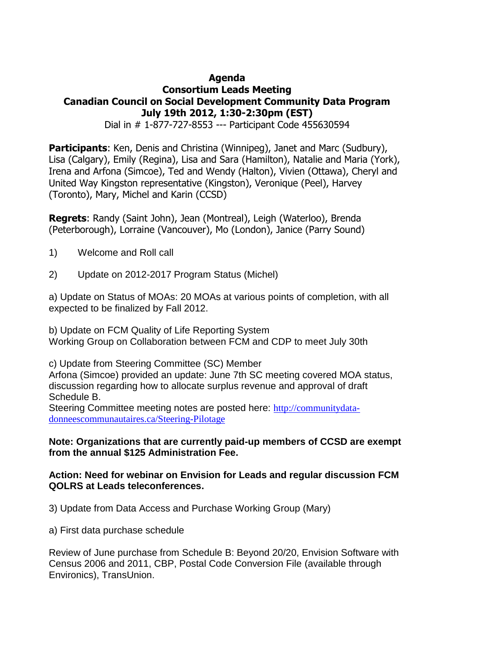# **Agenda Consortium Leads Meeting Canadian Council on Social Development Community Data Program July 19th 2012, 1:30-2:30pm (EST)**

Dial in # 1-877-727-8553 --- Participant Code 455630594

**Participants**: Ken, Denis and Christina (Winnipeg), Janet and Marc (Sudbury), Lisa (Calgary), Emily (Regina), Lisa and Sara (Hamilton), Natalie and Maria (York), Irena and Arfona (Simcoe), Ted and Wendy (Halton), Vivien (Ottawa), Cheryl and United Way Kingston representative (Kingston), Veronique (Peel), Harvey (Toronto), Mary, Michel and Karin (CCSD)

**Regrets**: Randy (Saint John), Jean (Montreal), Leigh (Waterloo), Brenda (Peterborough), Lorraine (Vancouver), Mo (London), Janice (Parry Sound)

- 1) Welcome and Roll call
- 2) Update on 2012-2017 Program Status (Michel)

a) Update on Status of MOAs: 20 MOAs at various points of completion, with all expected to be finalized by Fall 2012.

b) Update on FCM Quality of Life Reporting System Working Group on Collaboration between FCM and CDP to meet July 30th

c) Update from Steering Committee (SC) Member

Arfona (Simcoe) provided an update: June 7th SC meeting covered MOA status, discussion regarding how to allocate surplus revenue and approval of draft Schedule B.

Steering Committee meeting notes are posted here: [http://communitydata](http://communitydata-donneescommunautaires.ca/Steering-Pilotage)[donneescommunautaires.ca/Steering-Pilotage](http://communitydata-donneescommunautaires.ca/Steering-Pilotage)

## **Note: Organizations that are currently paid-up members of CCSD are exempt from the annual \$125 Administration Fee.**

# **Action: Need for webinar on Envision for Leads and regular discussion FCM QOLRS at Leads teleconferences.**

3) Update from Data Access and Purchase Working Group (Mary)

a) First data purchase schedule

Review of June purchase from Schedule B: Beyond 20/20, Envision Software with Census 2006 and 2011, CBP, Postal Code Conversion File (available through Environics), TransUnion.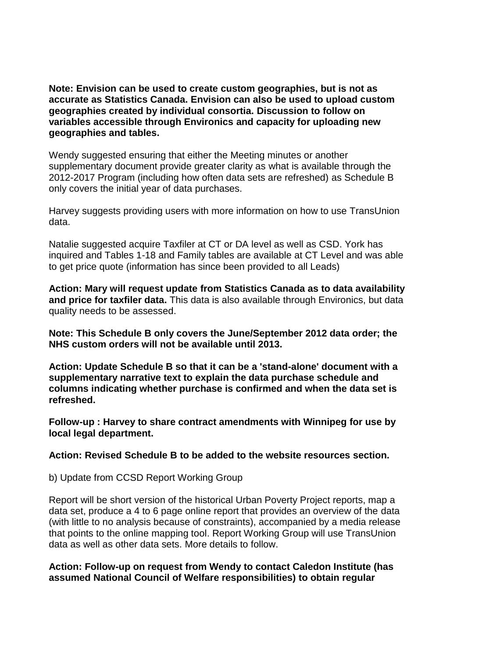**Note: Envision can be used to create custom geographies, but is not as accurate as Statistics Canada. Envision can also be used to upload custom geographies created by individual consortia. Discussion to follow on variables accessible through Environics and capacity for uploading new geographies and tables.** 

Wendy suggested ensuring that either the Meeting minutes or another supplementary document provide greater clarity as what is available through the 2012-2017 Program (including how often data sets are refreshed) as Schedule B only covers the initial year of data purchases.

Harvey suggests providing users with more information on how to use TransUnion data.

Natalie suggested acquire Taxfiler at CT or DA level as well as CSD. York has inquired and Tables 1-18 and Family tables are available at CT Level and was able to get price quote (information has since been provided to all Leads)

**Action: Mary will request update from Statistics Canada as to data availability and price for taxfiler data.** This data is also available through Environics, but data quality needs to be assessed.

**Note: This Schedule B only covers the June/September 2012 data order; the NHS custom orders will not be available until 2013.**

**Action: Update Schedule B so that it can be a 'stand-alone' document with a supplementary narrative text to explain the data purchase schedule and columns indicating whether purchase is confirmed and when the data set is refreshed.**

**Follow-up : Harvey to share contract amendments with Winnipeg for use by local legal department.**

**Action: Revised Schedule B to be added to the website resources section.** 

b) Update from CCSD Report Working Group

Report will be short version of the historical Urban Poverty Project reports, map a data set, produce a 4 to 6 page online report that provides an overview of the data (with little to no analysis because of constraints), accompanied by a media release that points to the online mapping tool. Report Working Group will use TransUnion data as well as other data sets. More details to follow.

## **Action: Follow-up on request from Wendy to contact Caledon Institute (has assumed National Council of Welfare responsibilities) to obtain regular**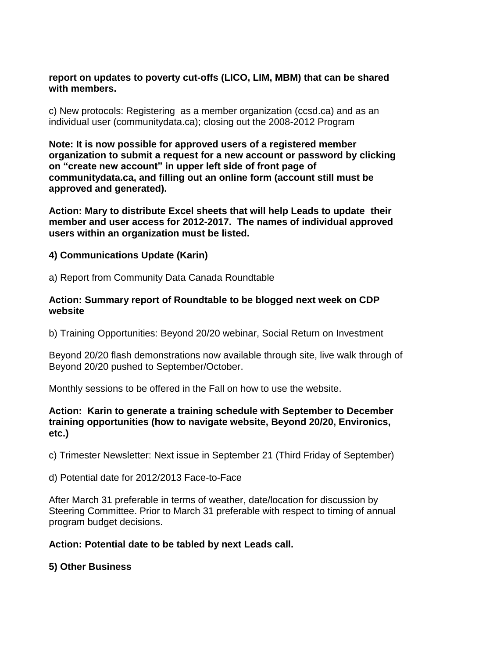## **report on updates to poverty cut-offs (LICO, LIM, MBM) that can be shared with members.**

c) New protocols: Registering as a member organization (ccsd.ca) and as an individual user (communitydata.ca); closing out the 2008-2012 Program

**Note: It is now possible for approved users of a registered member organization to submit a request for a new account or password by clicking on "create new account" in upper left side of front page of communitydata.ca, and filling out an online form (account still must be approved and generated).**

**Action: Mary to distribute Excel sheets that will help Leads to update their member and user access for 2012-2017. The names of individual approved users within an organization must be listed.**

## **4) Communications Update (Karin)**

a) Report from Community Data Canada Roundtable

## **Action: Summary report of Roundtable to be blogged next week on CDP website**

b) Training Opportunities: Beyond 20/20 webinar, Social Return on Investment

Beyond 20/20 flash demonstrations now available through site, live walk through of Beyond 20/20 pushed to September/October.

Monthly sessions to be offered in the Fall on how to use the website.

## **Action: Karin to generate a training schedule with September to December training opportunities (how to navigate website, Beyond 20/20, Environics, etc.)**

c) Trimester Newsletter: Next issue in September 21 (Third Friday of September)

d) Potential date for 2012/2013 Face-to-Face

After March 31 preferable in terms of weather, date/location for discussion by Steering Committee. Prior to March 31 preferable with respect to timing of annual program budget decisions.

# **Action: Potential date to be tabled by next Leads call.**

**5) Other Business**